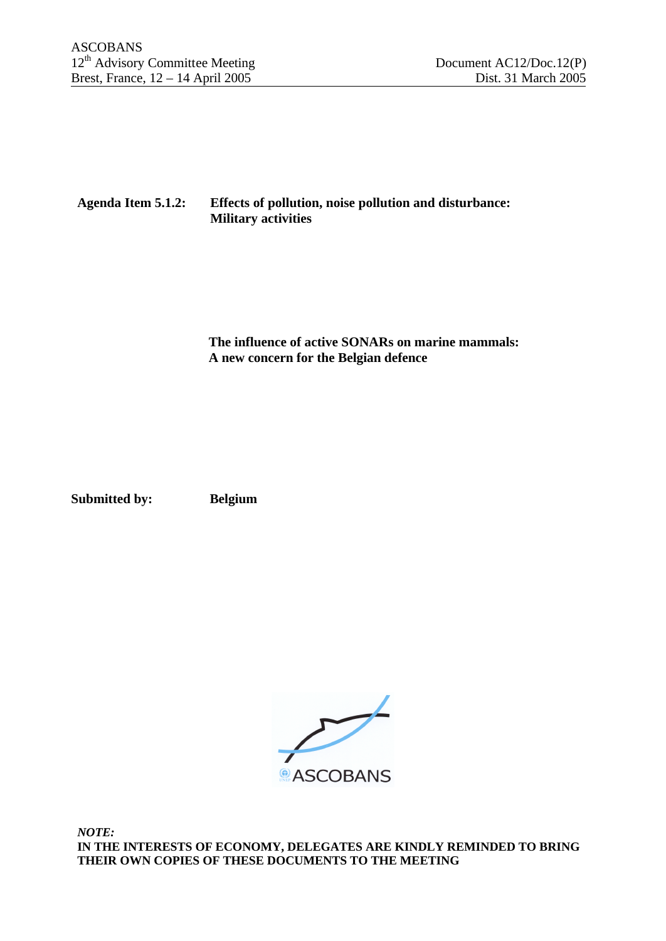# **Agenda Item 5.1.2: Effects of pollution, noise pollution and disturbance: Military activities**

 **The influence of active SONARs on marine mammals: A new concern for the Belgian defence**

**Submitted by: Belgium**



*NOTE:* **IN THE INTERESTS OF ECONOMY, DELEGATES ARE KINDLY REMINDED TO BRING THEIR OWN COPIES OF THESE DOCUMENTS TO THE MEETING**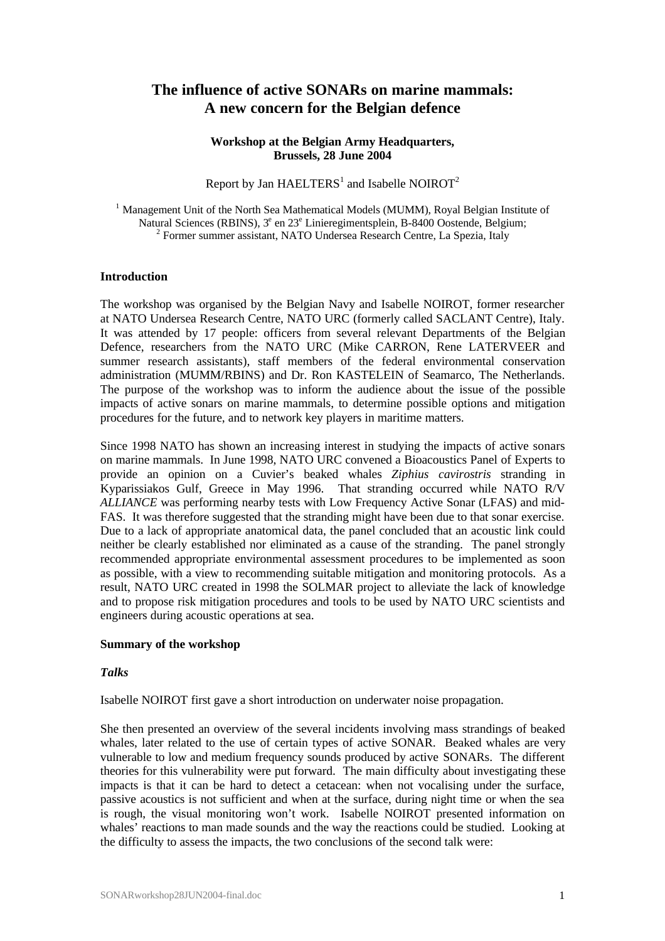# **The influence of active SONARs on marine mammals: A new concern for the Belgian defence**

### **Workshop at the Belgian Army Headquarters, Brussels, 28 June 2004**

Report by Jan HAELTERS<sup>1</sup> and Isabelle NOIROT<sup>2</sup>

<sup>1</sup> Management Unit of the North Sea Mathematical Models (MUMM), Royal Belgian Institute of Natural Sciences (RBINS), 3<sup>e</sup> en 23<sup>e</sup> Linieregimentsplein, B-8400 Oostende, Belgium; <sup>2</sup> Former summer assistant, NATO Undersea Research Centre, La Spezia, Italy

### **Introduction**

The workshop was organised by the Belgian Navy and Isabelle NOIROT, former researcher at NATO Undersea Research Centre, NATO URC (formerly called SACLANT Centre), Italy. It was attended by 17 people: officers from several relevant Departments of the Belgian Defence, researchers from the NATO URC (Mike CARRON, Rene LATERVEER and summer research assistants), staff members of the federal environmental conservation administration (MUMM/RBINS) and Dr. Ron KASTELEIN of Seamarco, The Netherlands. The purpose of the workshop was to inform the audience about the issue of the possible impacts of active sonars on marine mammals, to determine possible options and mitigation procedures for the future, and to network key players in maritime matters.

Since 1998 NATO has shown an increasing interest in studying the impacts of active sonars on marine mammals. In June 1998, NATO URC convened a Bioacoustics Panel of Experts to provide an opinion on a Cuvier's beaked whales *Ziphius cavirostris* stranding in Kyparissiakos Gulf, Greece in May 1996. That stranding occurred while NATO R/V *ALLIANCE* was performing nearby tests with Low Frequency Active Sonar (LFAS) and mid-FAS. It was therefore suggested that the stranding might have been due to that sonar exercise. Due to a lack of appropriate anatomical data, the panel concluded that an acoustic link could neither be clearly established nor eliminated as a cause of the stranding. The panel strongly recommended appropriate environmental assessment procedures to be implemented as soon as possible, with a view to recommending suitable mitigation and monitoring protocols. As a result, NATO URC created in 1998 the SOLMAR project to alleviate the lack of knowledge and to propose risk mitigation procedures and tools to be used by NATO URC scientists and engineers during acoustic operations at sea.

#### **Summary of the workshop**

#### *Talks*

Isabelle NOIROT first gave a short introduction on underwater noise propagation.

She then presented an overview of the several incidents involving mass strandings of beaked whales, later related to the use of certain types of active SONAR. Beaked whales are very vulnerable to low and medium frequency sounds produced by active SONARs. The different theories for this vulnerability were put forward. The main difficulty about investigating these impacts is that it can be hard to detect a cetacean: when not vocalising under the surface, passive acoustics is not sufficient and when at the surface, during night time or when the sea is rough, the visual monitoring won't work. Isabelle NOIROT presented information on whales' reactions to man made sounds and the way the reactions could be studied. Looking at the difficulty to assess the impacts, the two conclusions of the second talk were: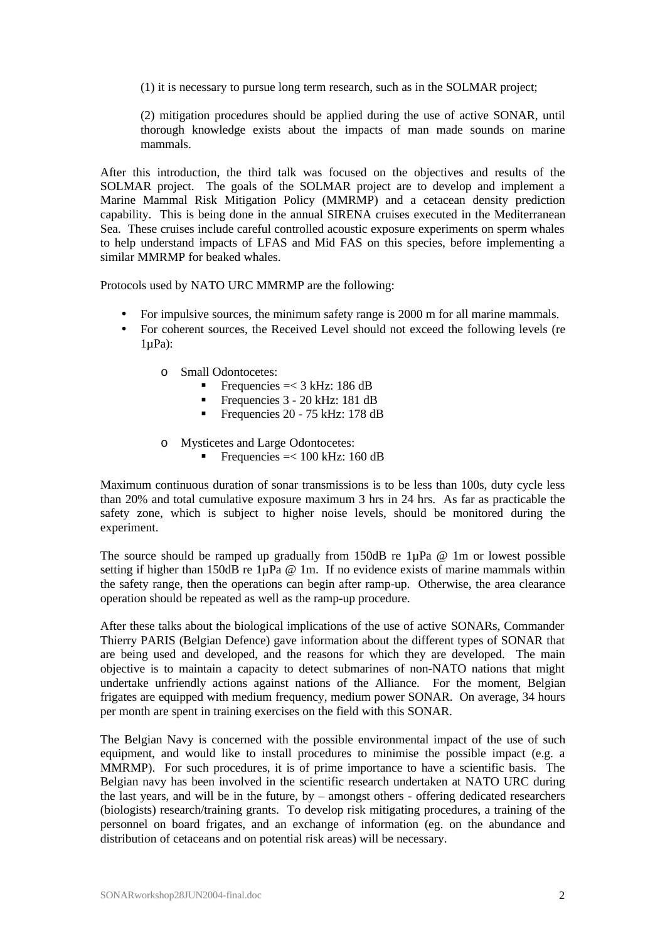(1) it is necessary to pursue long term research, such as in the SOLMAR project;

(2) mitigation procedures should be applied during the use of active SONAR, until thorough knowledge exists about the impacts of man made sounds on marine mammals.

After this introduction, the third talk was focused on the objectives and results of the SOLMAR project. The goals of the SOLMAR project are to develop and implement a Marine Mammal Risk Mitigation Policy (MMRMP) and a cetacean density prediction capability. This is being done in the annual SIRENA cruises executed in the Mediterranean Sea. These cruises include careful controlled acoustic exposure experiments on sperm whales to help understand impacts of LFAS and Mid FAS on this species, before implementing a similar MMRMP for beaked whales.

Protocols used by NATO URC MMRMP are the following:

- For impulsive sources, the minimum safety range is 2000 m for all marine mammals.
- For coherent sources, the Received Level should not exceed the following levels (re  $1\mu$ Pa $)$ :
	- o Small Odontocetes:
		- Frequencies  $=< 3 \text{ kHz}$ : 186 dB
		- ß Frequencies 3 20 kHz: 181 dB
		- Frequencies 20 75 kHz: 178 dB
	- o Mysticetes and Large Odontocetes:
		- Frequencies  $=< 100$  kHz: 160 dB

Maximum continuous duration of sonar transmissions is to be less than 100s, duty cycle less than 20% and total cumulative exposure maximum 3 hrs in 24 hrs. As far as practicable the safety zone, which is subject to higher noise levels, should be monitored during the experiment.

The source should be ramped up gradually from 150dB re 1µPa @ 1m or lowest possible setting if higher than 150dB re  $1\mu$ Pa @ 1m. If no evidence exists of marine mammals within the safety range, then the operations can begin after ramp-up. Otherwise, the area clearance operation should be repeated as well as the ramp-up procedure.

After these talks about the biological implications of the use of active SONARs, Commander Thierry PARIS (Belgian Defence) gave information about the different types of SONAR that are being used and developed, and the reasons for which they are developed. The main objective is to maintain a capacity to detect submarines of non-NATO nations that might undertake unfriendly actions against nations of the Alliance. For the moment, Belgian frigates are equipped with medium frequency, medium power SONAR. On average, 34 hours per month are spent in training exercises on the field with this SONAR.

The Belgian Navy is concerned with the possible environmental impact of the use of such equipment, and would like to install procedures to minimise the possible impact (e.g. a MMRMP). For such procedures, it is of prime importance to have a scientific basis. The Belgian navy has been involved in the scientific research undertaken at NATO URC during the last years, and will be in the future, by – amongst others - offering dedicated researchers (biologists) research/training grants. To develop risk mitigating procedures, a training of the personnel on board frigates, and an exchange of information (eg. on the abundance and distribution of cetaceans and on potential risk areas) will be necessary.